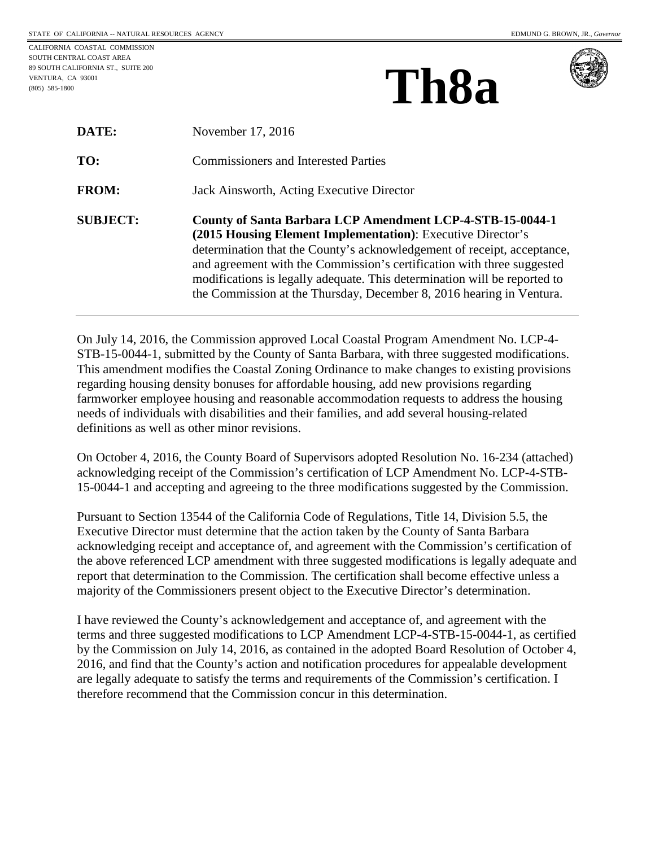CALIFORNIA COASTAL COMMISSION SOUTH CENTRAL COAST AREA 89 SOUTH CALIFORNIA ST., SUITE 200 VENTURA, CA 93001 (805) 585-1800

| Th <sub>8a</sub> |
|------------------|
|------------------|



| <b>DATE:</b>    | November 17, 2016                                                                                                                                                                                                                                                                                                                                                                                                                  |
|-----------------|------------------------------------------------------------------------------------------------------------------------------------------------------------------------------------------------------------------------------------------------------------------------------------------------------------------------------------------------------------------------------------------------------------------------------------|
| TO:             | <b>Commissioners and Interested Parties</b>                                                                                                                                                                                                                                                                                                                                                                                        |
| <b>FROM:</b>    | Jack Ainsworth, Acting Executive Director                                                                                                                                                                                                                                                                                                                                                                                          |
| <b>SUBJECT:</b> | County of Santa Barbara LCP Amendment LCP-4-STB-15-0044-1<br>(2015 Housing Element Implementation): Executive Director's<br>determination that the County's acknowledgement of receipt, acceptance,<br>and agreement with the Commission's certification with three suggested<br>modifications is legally adequate. This determination will be reported to<br>the Commission at the Thursday, December 8, 2016 hearing in Ventura. |

On July 14, 2016, the Commission approved Local Coastal Program Amendment No. LCP-4- STB-15-0044-1, submitted by the County of Santa Barbara, with three suggested modifications. This amendment modifies the Coastal Zoning Ordinance to make changes to existing provisions regarding housing density bonuses for affordable housing, add new provisions regarding farmworker employee housing and reasonable accommodation requests to address the housing needs of individuals with disabilities and their families, and add several housing-related definitions as well as other minor revisions.

On October 4, 2016, the County Board of Supervisors adopted Resolution No. 16-234 (attached) acknowledging receipt of the Commission's certification of LCP Amendment No. LCP-4-STB-15-0044-1 and accepting and agreeing to the three modifications suggested by the Commission.

Pursuant to Section 13544 of the California Code of Regulations, Title 14, Division 5.5, the Executive Director must determine that the action taken by the County of Santa Barbara acknowledging receipt and acceptance of, and agreement with the Commission's certification of the above referenced LCP amendment with three suggested modifications is legally adequate and report that determination to the Commission. The certification shall become effective unless a majority of the Commissioners present object to the Executive Director's determination.

I have reviewed the County's acknowledgement and acceptance of, and agreement with the terms and three suggested modifications to LCP Amendment LCP-4-STB-15-0044-1, as certified by the Commission on July 14, 2016, as contained in the adopted Board Resolution of October 4, 2016, and find that the County's action and notification procedures for appealable development are legally adequate to satisfy the terms and requirements of the Commission's certification. I therefore recommend that the Commission concur in this determination.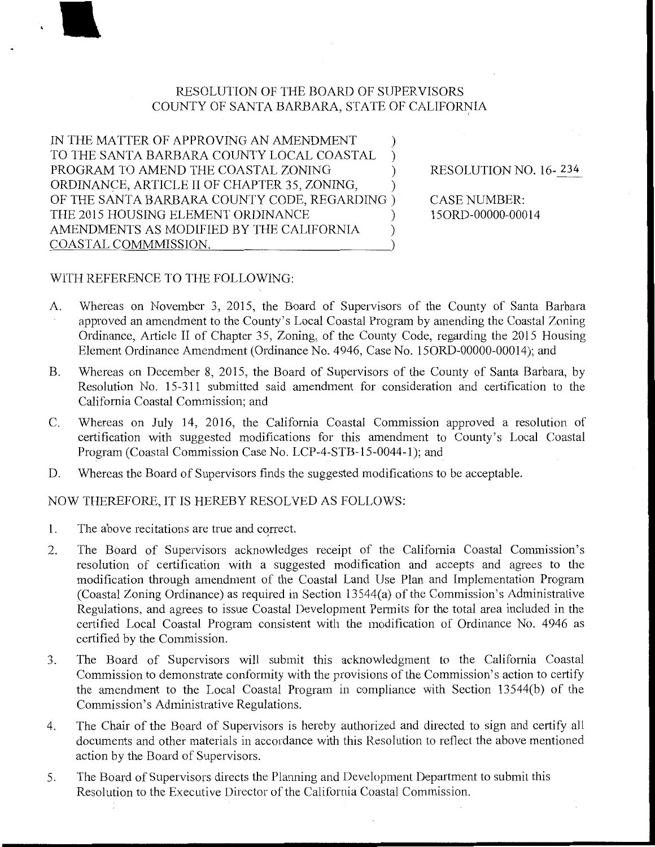## RESOLUTION OF THE BOARD OF SUPERVISORS COUNTY OF SANTA BARBARA, STATE OF CALIFORNIA

IN THE MATTER OF APPROVING AN AMENDMENT TO THE SANTA BARBARA COUNTY LOCAL COASTAL PROGRAM TO AMEND THE COASTAL ZONING ) ) ) ORDINANCE, ARTICLE II OF CHAPTER 35, ZONING, ) OF THE SANTA BARBARA COUNTY CODE, REGARDING ) THE 2015 HOUSING ELEMENT ORDINANCE AMENDMENTS AS MODIFIED BY THE CALIFORNIA  $\qquad$ COASTAL COMMMISSION. )

RESOLUTION NO. 16- 234

CASE NUMBER: 150RD-OOOOO-OOO 14

## WITH REFERENCE TO THE FOLLOWING:

- A. Whereas on November 3, 2015, the Board of Supervisors of the County of Santa Barbara approved an amendment to the County's Local Coastal Program by amending the Coastal Zoning Ordinance, Article II of Chapter 35, Zoning, of the County Code, regarding the 2015 Housing Element Ordinance Amendment (Ordinance No. 4946, Case No. 150RD-00000-00014); and
- B. Whereas on December 8, 2015, the Board of Supervisors of the County of Santa Barbara, by Resolution No. 15-311 submitted said amendment for consideration and certification to the California Coastal Commission; and
- C. Whereas on July 14, 2016, the California Coastal Commission approved a resolution of certification with suggested modifications for this amendment to County's Local Coastal Program (Coastal Commission Case No. LCP-4-STB-15-0044-1); and
- D. Whereas the Board of Supervisors finds the suggested modifications to be acceptable.

NOW THEREFORE, IT IS HEREBY RESOLVED AS FOLLOWS:

- 1. The above recitations are true and correct.
- 2. The Board of Supervisors acknowledges receipt of the California Coastal Commission's resolution of certification with a suggested modification and accepts and agrees to the modification through amendment of the Coastal Land Use Plan and Implementation Program (Coastal Zoning Ordinance) as required in Section 13544(a) of the Commission's Administrative Regulations, and agrees to issue Coastal Development Pennits for the total area included in the certified Local Coastal Program consistent with the modification of Ordinance No. 4946 as certified by the Commission.
- 3. The Board of Supervisors will submit this acknowledgment to the California Coastal Commission to demonstrate conformity with the provisions of the Commission's action to certify the amendment to the Local Coastal Program in compliance with Section 13544(b) of the Commission's Administrative Regulations.
- 4. The Chair of the Board of Supervisors is hereby authorized and directed to sign and certify all documents and other materials in accordance with this Resolution to reflect the above mentioned action by the Board of Supervisors.
- 5. The Board of Supervisors directs the Planning and Development Department to submit this Resolution to the Executive Director of the California Coastal Commission.